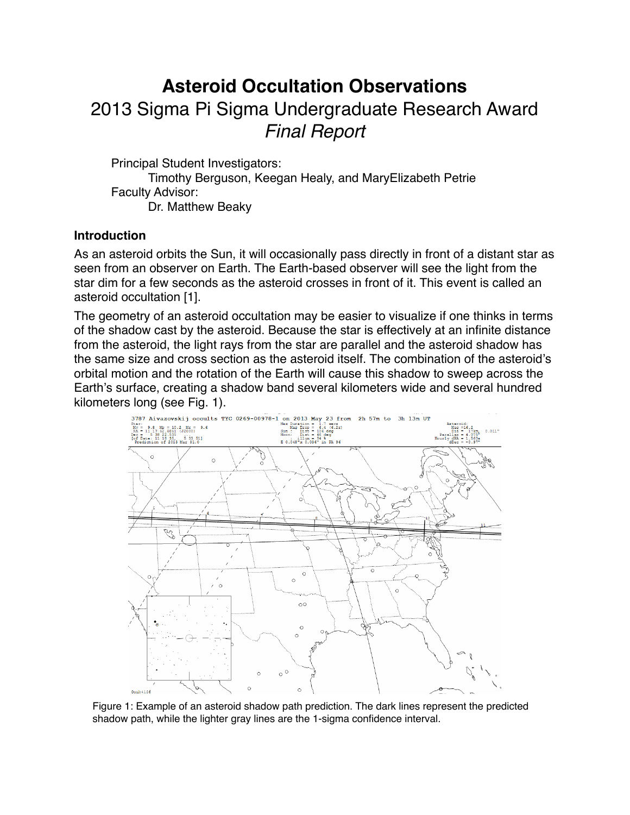# **Asteroid Occultation Observations** 2013 Sigma Pi Sigma Undergraduate Research Award *Final Report*

Principal Student Investigators:

Timothy Berguson, Keegan Healy, and MaryElizabeth Petrie Faculty Advisor: Dr. Matthew Beaky

## **Introduction**

As an asteroid orbits the Sun, it will occasionally pass directly in front of a distant star as seen from an observer on Earth. The Earth-based observer will see the light from the star dim for a few seconds as the asteroid crosses in front of it. This event is called an asteroid occultation [1].

The geometry of an asteroid occultation may be easier to visualize if one thinks in terms of the shadow cast by the asteroid. Because the star is effectively at an infinite distance from the asteroid, the light rays from the star are parallel and the asteroid shadow has the same size and cross section as the asteroid itself. The combination of the asteroid's orbital motion and the rotation of the Earth will cause this shadow to sweep across the Earth's surface, creating a shadow band several kilometers wide and several hundred kilometers long (see Fig. 1).



Figure 1: Example of an asteroid shadow path prediction. The dark lines represent the predicted shadow path, while the lighter gray lines are the 1-sigma confidence interval.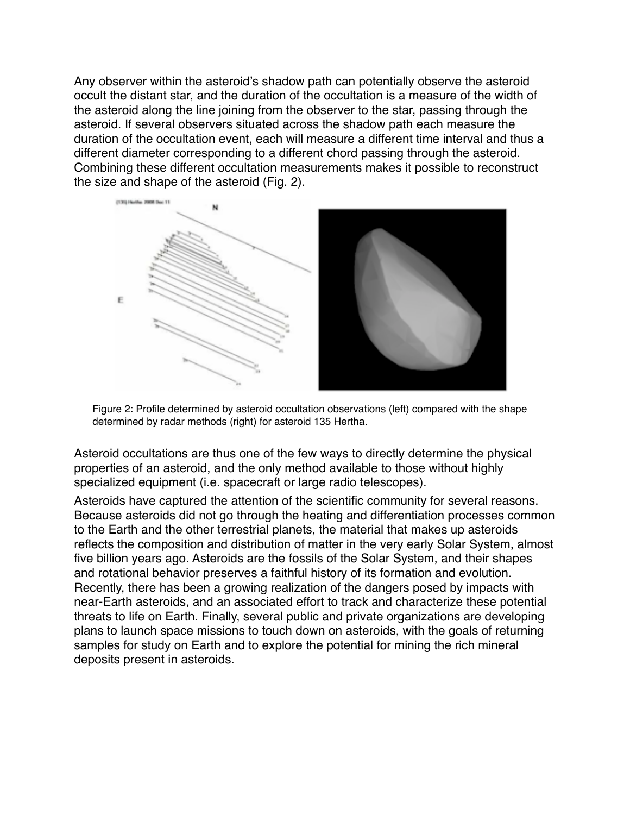Any observer within the asteroid's shadow path can potentially observe the asteroid occult the distant star, and the duration of the occultation is a measure of the width of the asteroid along the line joining from the observer to the star, passing through the asteroid. If several observers situated across the shadow path each measure the duration of the occultation event, each will measure a different time interval and thus a different diameter corresponding to a different chord passing through the asteroid. Combining these different occultation measurements makes it possible to reconstruct the size and shape of the asteroid (Fig. 2).



Figure 2: Profile determined by asteroid occultation observations (left) compared with the shape determined by radar methods (right) for asteroid 135 Hertha.

Asteroid occultations are thus one of the few ways to directly determine the physical properties of an asteroid, and the only method available to those without highly specialized equipment (i.e. spacecraft or large radio telescopes).

Asteroids have captured the attention of the scientific community for several reasons. Because asteroids did not go through the heating and differentiation processes common to the Earth and the other terrestrial planets, the material that makes up asteroids reflects the composition and distribution of matter in the very early Solar System, almost five billion years ago. Asteroids are the fossils of the Solar System, and their shapes and rotational behavior preserves a faithful history of its formation and evolution. Recently, there has been a growing realization of the dangers posed by impacts with near-Earth asteroids, and an associated effort to track and characterize these potential threats to life on Earth. Finally, several public and private organizations are developing plans to launch space missions to touch down on asteroids, with the goals of returning samples for study on Earth and to explore the potential for mining the rich mineral deposits present in asteroids.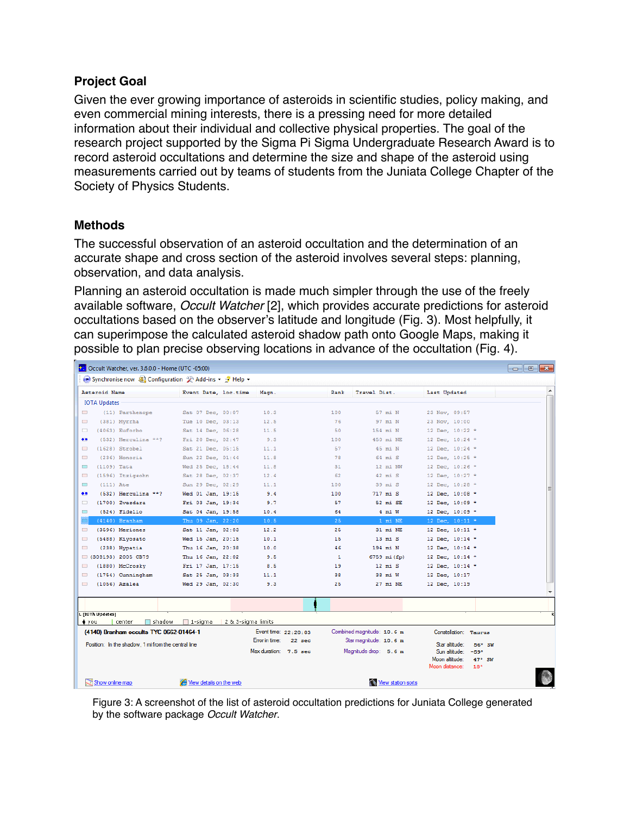## **Project Goal**

Given the ever growing importance of asteroids in scientific studies, policy making, and even commercial mining interests, there is a pressing need for more detailed information about their individual and collective physical properties. The goal of the research project supported by the Sigma Pi Sigma Undergraduate Research Award is to record asteroid occultations and determine the size and shape of the asteroid using measurements carried out by teams of students from the Juniata College Chapter of the Society of Physics Students.

## **Methods**

The successful observation of an asteroid occultation and the determination of an accurate shape and cross section of the asteroid involves several steps: planning, observation, and data analysis.

Planning an asteroid occultation is made much simpler through the use of the freely available software, *Occult Watcher* [2], which provides accurate predictions for asteroid occultations based on the observer's latitude and longitude (Fig. 3). Most helpfully, it can superimpose the calculated asteroid shadow path onto Google Maps, making it possible to plan precise observing locations in advance of the occultation (Fig. 4).

| Cccult Watcher, ver. 3.6.0.0 - Home (UTC -05:00)      |                         |                            |                              | $-x$<br>$\Box$ $\Box$                               |
|-------------------------------------------------------|-------------------------|----------------------------|------------------------------|-----------------------------------------------------|
| Synchronise now SI Configuration & Add-ins - 3 Help - |                         |                            |                              |                                                     |
| Asteroid Name                                         | Event Date, loc.time    | Magn.                      | Travel Dist.<br>Rank         | Last Updated                                        |
| <b>IOTA Updates</b>                                   |                         |                            |                              |                                                     |
| (11) Parthenope<br>$\Box$                             | Sat 07 Dec, 00:07       | 10.3                       | 57 mi N<br>100               | 23 Nov, 09:57                                       |
| (381) Myrrha<br>$\Box$                                | Tue 10 Dec. 03:13       | 12.5                       | 76<br>97 mi N                | 23 Nov. 10:00                                       |
| $\Box$<br>$(4063)$ Euforbo                            | Sat 14 Dec. 06:28       | 11.5                       | 50<br>154 mi N               | 12 Dec, 10:22 *                                     |
| $\bullet \bullet$<br>(532) Herculina **?              | Fri 20 Dec, 02:47       | 9.3                        | 100<br>450 mi NE             | 12 Dec, 10:24 *                                     |
| $(1628)$ Strobel<br>$\Box$                            | Sat 21 Dec. 05:15       | 11.1                       | 45 mi N<br>57                | 12 Dec. 10:24 *                                     |
| (236) Honoria<br>$\overline{\phantom{a}}$             | Sun 22 Dec, 01:44       | 11.8                       | 64 mi S<br>78                | 12 Dec, 10:25 *                                     |
| (1109) Tata<br>$\Box$                                 | Wed 25 Dec, 18:44       | 11.8                       | 12 mi NW<br>31               | 12 Dec, 10:26 *                                     |
| (1596) Itzigschn<br>$\Box$                            | Sat 28 Dec. 02:37       | 12.4                       | 42 mi S<br>62                | 12 Dec. 10:27 *                                     |
| $\overline{\phantom{a}}$<br>$(111)$ Ate               | Sun 29 Dec, 02:29       | 11.1                       | 39 mi S<br>100               | 12 Dec, 10:28 *                                     |
| (532) Herculina **?<br>$\bullet\bullet$               | Wed 01 Jan, 19:15       | 9.4                        | 717 mi S<br>100              | 12 Dec, 10:08 *                                     |
| $(1700)$ Zvezdara<br>$\Box$                           | Fri 03 Jan. 19:34       | 9.7                        | 52 mi SE<br>57               | 12 Dec. 10:09 *                                     |
| $\Box$<br>(524) Fidelio                               | Sat 04 Jan, 19:58       | 10.4                       | 4 mi W<br>64                 | 12 Dec, 10:09 *                                     |
| $(4140)$ Branham                                      | Thu 09 Jan, 22:20       | 10.5                       | 1 mi NE<br>25                | 12 Dec, 10:11 *                                     |
| (3596) Meriones<br>$\Box$                             | Sat 11 Jan, 02:03       | 12.2                       | 31 mi NE<br>25               | 12 Dec, 10:11 *                                     |
| $\overline{\phantom{a}}$<br>(5488) Kiyosato           | Wed 15 Jan, 20:15       | 10.1                       | 15<br>$13$ mi $S$            | 12 Dec, 10:14 *                                     |
| $\Box$<br>(238) Hypatia                               | Thu 16 Jan, 20:38       | 10.0                       | 194 mi N<br>46               | 12 Dec, 10:14 *                                     |
| □ (308193) 2005 CB79                                  | Thu 16 Jan. 22:02       | 9.5                        | $\mathbf{1}$<br>6759 mi(fp)  | 12 Dec. 10:14 *                                     |
| $\Box$<br>(1880) McCrosky                             | Fri 17 Jan, 17:15       | 8.5                        | 19<br>$12$ mi $S$            | 12 Dec, 10:14 *                                     |
| $\overline{\phantom{a}}$<br>(1754) Cunningham         | Sat 25 Jan, 03:33       | 11.1                       | 38<br>38 mi W                | 12 Dec, 10:17                                       |
| $(1056)$ Azalea<br>$\Box$                             | Wed 29 Jan, 02:30       | 9.3                        | 25<br>27 mi NE               | 12 Dec, 10:19                                       |
|                                                       |                         |                            |                              |                                                     |
|                                                       |                         |                            |                              |                                                     |
| L [IOTÀ Updates]                                      |                         |                            |                              |                                                     |
| $\Box$ shadow<br>center<br>∳you                       | $\Box$ 1-sigma          | 2 & 3-sigma limits         |                              |                                                     |
| (4140) Branham occults TYC 0662-01464-1               |                         | Event time: $22:20:03$     | Combined magnitude: 10.6 m   | Constellation: Taurus                               |
| Position: In the shadow. 1 mi from the central line   |                         | Error in time:<br>$22$ sec | Star magnitude: 10.6 m       |                                                     |
|                                                       |                         | Max duration: 7.5 sec      | Magnitude drop: 5.6 m        | Star altitude:<br>56° SW<br>Sun altitude:<br>$-59°$ |
|                                                       |                         |                            |                              | Moon altitude:<br>$47^\circ$ SW                     |
|                                                       |                         |                            |                              | Moon distance:<br>18°                               |
|                                                       |                         |                            |                              |                                                     |
| Show online map                                       | Wiew details on the web |                            | <b>No View station sorts</b> |                                                     |

Figure 3: A screenshot of the list of asteroid occultation predictions for Juniata College generated by the software package *Occult Watcher*.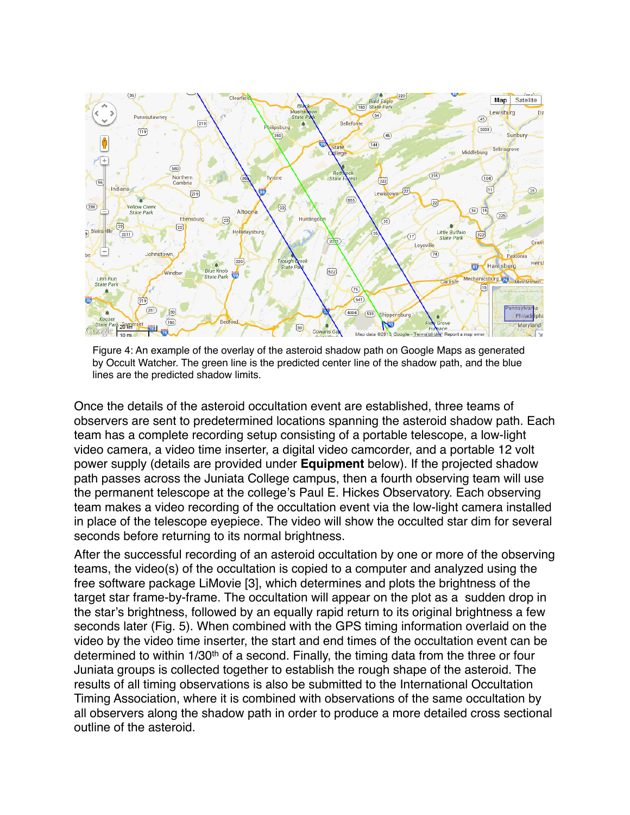

Figure 4: An example of the overlay of the asteroid shadow path on Google Maps as generated by Occult Watcher. The green line is the predicted center line of the shadow path, and the blue lines are the predicted shadow limits.

Once the details of the asteroid occultation event are established, three teams of observers are sent to predetermined locations spanning the asteroid shadow path. Each team has a complete recording setup consisting of a portable telescope, a low-light video camera, a video time inserter, a digital video camcorder, and a portable 12 volt power supply (details are provided under **Equipment** below). If the projected shadow path passes across the Juniata College campus, then a fourth observing team will use the permanent telescope at the college's Paul E. Hickes Observatory. Each observing team makes a video recording of the occultation event via the low-light camera installed in place of the telescope eyepiece. The video will show the occulted star dim for several seconds before returning to its normal brightness.

After the successful recording of an asteroid occultation by one or more of the observing teams, the video(s) of the occultation is copied to a computer and analyzed using the free software package LiMovie [3], which determines and plots the brightness of the target star frame-by-frame. The occultation will appear on the plot as a sudden drop in the star's brightness, followed by an equally rapid return to its original brightness a few seconds later (Fig. 5). When combined with the GPS timing information overlaid on the video by the video time inserter, the start and end times of the occultation event can be determined to within 1/30<sup>th</sup> of a second. Finally, the timing data from the three or four Juniata groups is collected together to establish the rough shape of the asteroid. The results of all timing observations is also be submitted to the International Occultation Timing Association, where it is combined with observations of the same occultation by all observers along the shadow path in order to produce a more detailed cross sectional outline of the asteroid.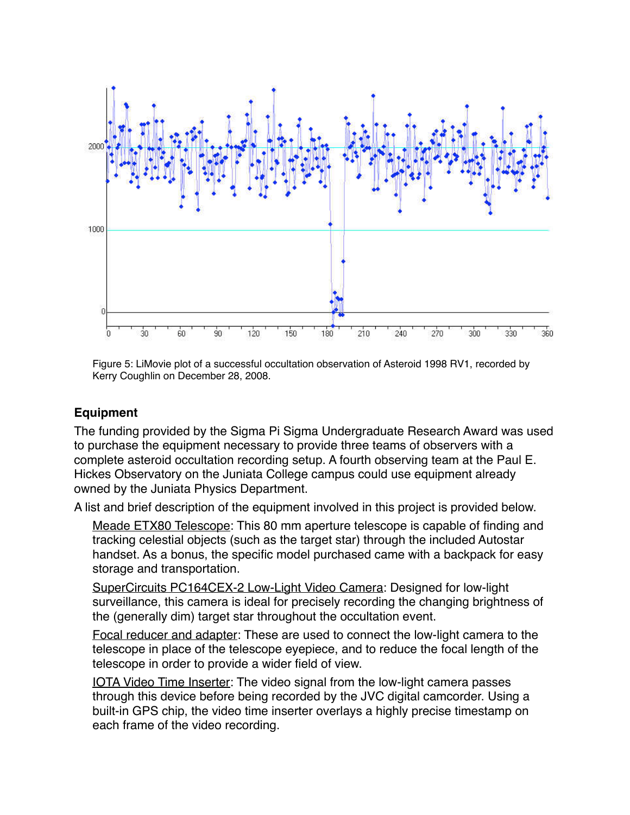

Figure 5: LiMovie plot of a successful occultation observation of Asteroid 1998 RV1, recorded by Kerry Coughlin on December 28, 2008.

#### **Equipment**

The funding provided by the Sigma Pi Sigma Undergraduate Research Award was used to purchase the equipment necessary to provide three teams of observers with a complete asteroid occultation recording setup. A fourth observing team at the Paul E. Hickes Observatory on the Juniata College campus could use equipment already owned by the Juniata Physics Department.

A list and brief description of the equipment involved in this project is provided below.

Meade ETX80 Telescope: This 80 mm aperture telescope is capable of finding and tracking celestial objects (such as the target star) through the included Autostar handset. As a bonus, the specific model purchased came with a backpack for easy storage and transportation.

SuperCircuits PC164CEX-2 Low-Light Video Camera: Designed for low-light surveillance, this camera is ideal for precisely recording the changing brightness of the (generally dim) target star throughout the occultation event.

Focal reducer and adapter: These are used to connect the low-light camera to the telescope in place of the telescope eyepiece, and to reduce the focal length of the telescope in order to provide a wider field of view.

IOTA Video Time Inserter: The video signal from the low-light camera passes through this device before being recorded by the JVC digital camcorder. Using a built-in GPS chip, the video time inserter overlays a highly precise timestamp on each frame of the video recording.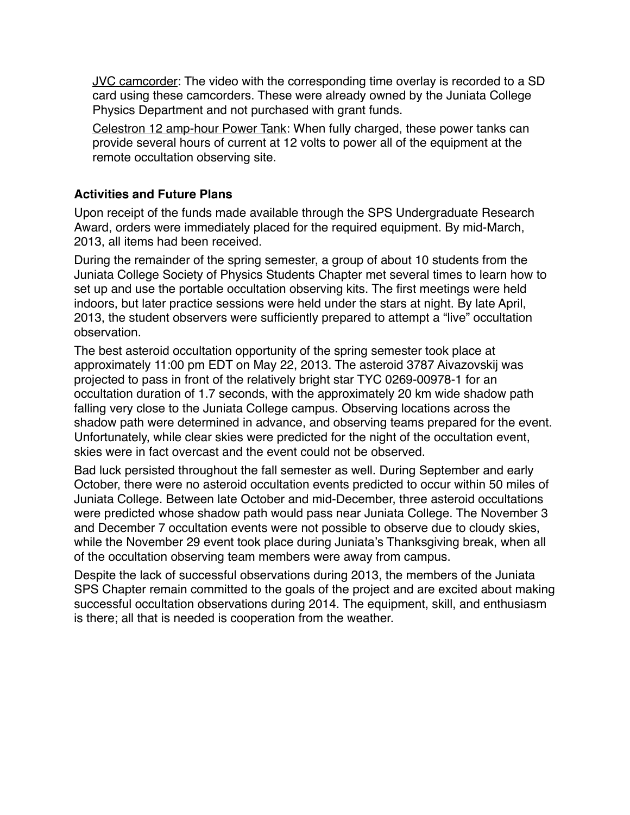JVC camcorder: The video with the corresponding time overlay is recorded to a SD card using these camcorders. These were already owned by the Juniata College Physics Department and not purchased with grant funds.

Celestron 12 amp-hour Power Tank: When fully charged, these power tanks can provide several hours of current at 12 volts to power all of the equipment at the remote occultation observing site.

## **Activities and Future Plans**

Upon receipt of the funds made available through the SPS Undergraduate Research Award, orders were immediately placed for the required equipment. By mid-March, 2013, all items had been received.

During the remainder of the spring semester, a group of about 10 students from the Juniata College Society of Physics Students Chapter met several times to learn how to set up and use the portable occultation observing kits. The first meetings were held indoors, but later practice sessions were held under the stars at night. By late April, 2013, the student observers were sufficiently prepared to attempt a "live" occultation observation.

The best asteroid occultation opportunity of the spring semester took place at approximately 11:00 pm EDT on May 22, 2013. The asteroid 3787 Aivazovskij was projected to pass in front of the relatively bright star TYC 0269-00978-1 for an occultation duration of 1.7 seconds, with the approximately 20 km wide shadow path falling very close to the Juniata College campus. Observing locations across the shadow path were determined in advance, and observing teams prepared for the event. Unfortunately, while clear skies were predicted for the night of the occultation event, skies were in fact overcast and the event could not be observed.

Bad luck persisted throughout the fall semester as well. During September and early October, there were no asteroid occultation events predicted to occur within 50 miles of Juniata College. Between late October and mid-December, three asteroid occultations were predicted whose shadow path would pass near Juniata College. The November 3 and December 7 occultation events were not possible to observe due to cloudy skies, while the November 29 event took place during Juniata's Thanksgiving break, when all of the occultation observing team members were away from campus.

Despite the lack of successful observations during 2013, the members of the Juniata SPS Chapter remain committed to the goals of the project and are excited about making successful occultation observations during 2014. The equipment, skill, and enthusiasm is there; all that is needed is cooperation from the weather.